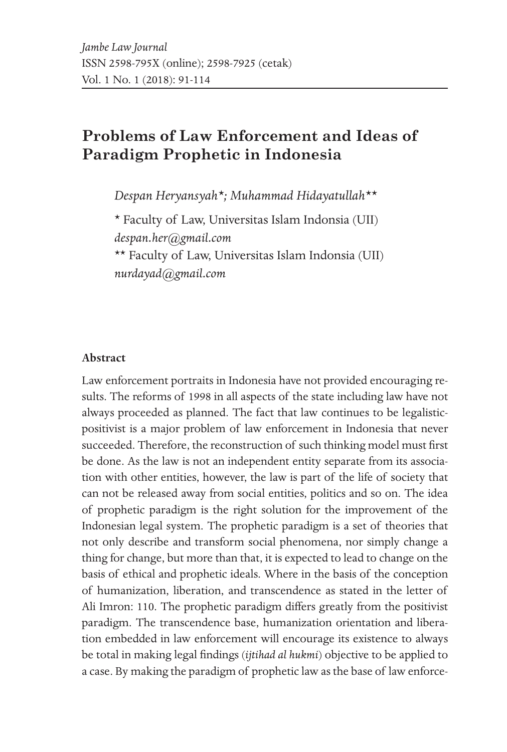# **Problems of Law Enforcement and Ideas of Paradigm Prophetic in Indonesia**

*Despan Heryansyah\*; Muhammad Hidayatullah\*\**

\* Faculty of Law, Universitas Islam Indonsia (UII) *despan.her@gmail.com* \*\* Faculty of Law, Universitas Islam Indonsia (UII) *nurdayad@gmail.com*

#### **Abstract**

Law enforcement portraits in Indonesia have not provided encouraging results. The reforms of 1998 in all aspects of the state including law have not always proceeded as planned. The fact that law continues to be legalisticpositivist is a major problem of law enforcement in Indonesia that never succeeded. Therefore, the reconstruction of such thinking model must first be done. As the law is not an independent entity separate from its association with other entities, however, the law is part of the life of society that can not be released away from social entities, politics and so on. The idea of prophetic paradigm is the right solution for the improvement of the Indonesian legal system. The prophetic paradigm is a set of theories that not only describe and transform social phenomena, nor simply change a thing for change, but more than that, it is expected to lead to change on the basis of ethical and prophetic ideals. Where in the basis of the conception of humanization, liberation, and transcendence as stated in the letter of Ali Imron: 110. The prophetic paradigm differs greatly from the positivist paradigm. The transcendence base, humanization orientation and liberation embedded in law enforcement will encourage its existence to always be total in making legal findings (*ijtihad al hukmi*) objective to be applied to a case. By making the paradigm of prophetic law as the base of law enforce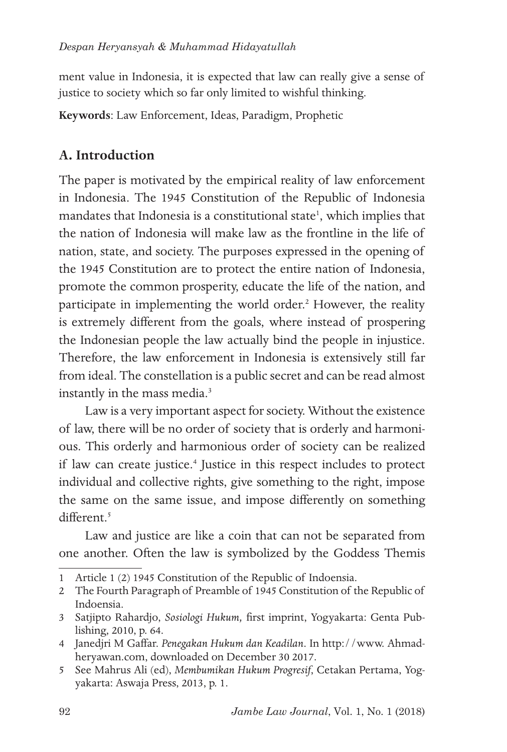ment value in Indonesia, it is expected that law can really give a sense of justice to society which so far only limited to wishful thinking.

**Keywords**: Law Enforcement, Ideas, Paradigm, Prophetic

## **A. Introduction**

The paper is motivated by the empirical reality of law enforcement in Indonesia. The 1945 Constitution of the Republic of Indonesia mandates that Indonesia is a constitutional state<sup>1</sup>, which implies that the nation of Indonesia will make law as the frontline in the life of nation, state, and society. The purposes expressed in the opening of the 1945 Constitution are to protect the entire nation of Indonesia, promote the common prosperity, educate the life of the nation, and participate in implementing the world order.<sup>2</sup> However, the reality is extremely different from the goals, where instead of prospering the Indonesian people the law actually bind the people in injustice. Therefore, the law enforcement in Indonesia is extensively still far from ideal. The constellation is a public secret and can be read almost instantly in the mass media.<sup>3</sup>

Law is a very important aspect for society. Without the existence of law, there will be no order of society that is orderly and harmonious. This orderly and harmonious order of society can be realized if law can create justice.<sup>4</sup> Justice in this respect includes to protect individual and collective rights, give something to the right, impose the same on the same issue, and impose differently on something different.<sup>5</sup>

Law and justice are like a coin that can not be separated from one another. Often the law is symbolized by the Goddess Themis

<sup>1</sup> Article 1 (2) 1945 Constitution of the Republic of Indoensia.

<sup>2</sup> The Fourth Paragraph of Preamble of 1945 Constitution of the Republic of Indoensia.

<sup>3</sup> Satjipto Rahardjo, *Sosiologi Hukum,* first imprint, Yogyakarta: Genta Publishing, 2010, p. 64.

<sup>4</sup> Janedjri M Gaffar. *Penegakan Hukum dan Keadilan*. In http://www. Ahmadheryawan.com, downloaded on December 30 2017.

<sup>5</sup> See Mahrus Ali (ed), *Membumikan Hukum Progresif*, Cetakan Pertama, Yogyakarta: Aswaja Press, 2013, p. 1.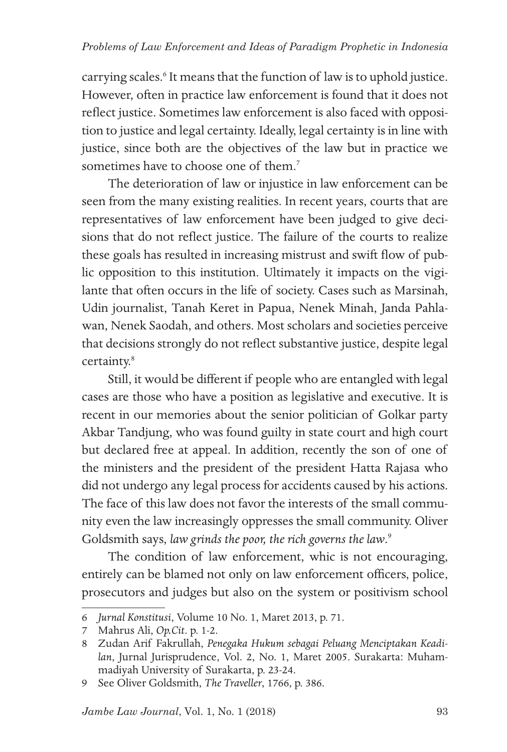carrying scales.<sup>6</sup> It means that the function of law is to uphold justice. However, often in practice law enforcement is found that it does not reflect justice. Sometimes law enforcement is also faced with opposition to justice and legal certainty. Ideally, legal certainty is in line with justice, since both are the objectives of the law but in practice we sometimes have to choose one of them.<sup>7</sup>

The deterioration of law or injustice in law enforcement can be seen from the many existing realities. In recent years, courts that are representatives of law enforcement have been judged to give decisions that do not reflect justice. The failure of the courts to realize these goals has resulted in increasing mistrust and swift flow of public opposition to this institution. Ultimately it impacts on the vigilante that often occurs in the life of society. Cases such as Marsinah, Udin journalist, Tanah Keret in Papua, Nenek Minah, Janda Pahlawan, Nenek Saodah, and others. Most scholars and societies perceive that decisions strongly do not reflect substantive justice, despite legal certainty.<sup>8</sup>

Still, it would be different if people who are entangled with legal cases are those who have a position as legislative and executive. It is recent in our memories about the senior politician of Golkar party Akbar Tandjung, who was found guilty in state court and high court but declared free at appeal. In addition, recently the son of one of the ministers and the president of the president Hatta Rajasa who did not undergo any legal process for accidents caused by his actions. The face of this law does not favor the interests of the small community even the law increasingly oppresses the small community. Oliver Goldsmith says, *law grinds the poor, the rich governs the law*. 9

The condition of law enforcement, whic is not encouraging, entirely can be blamed not only on law enforcement officers, police, prosecutors and judges but also on the system or positivism school

<sup>6</sup> *Jurnal Konstitusi*, Volume 10 No. 1, Maret 2013, p. 71.

<sup>7</sup> Mahrus Ali, *Op.Cit*. p. 1-2.

<sup>8</sup> Zudan Arif Fakrullah, *Penegaka Hukum sebagai Peluang Menciptakan Keadilan*, Jurnal Jurisprudence, Vol. 2, No. 1, Maret 2005. Surakarta: Muhammadiyah University of Surakarta, p. 23-24.

<sup>9</sup> See Oliver Goldsmith, *The Traveller*, 1766, p. 386.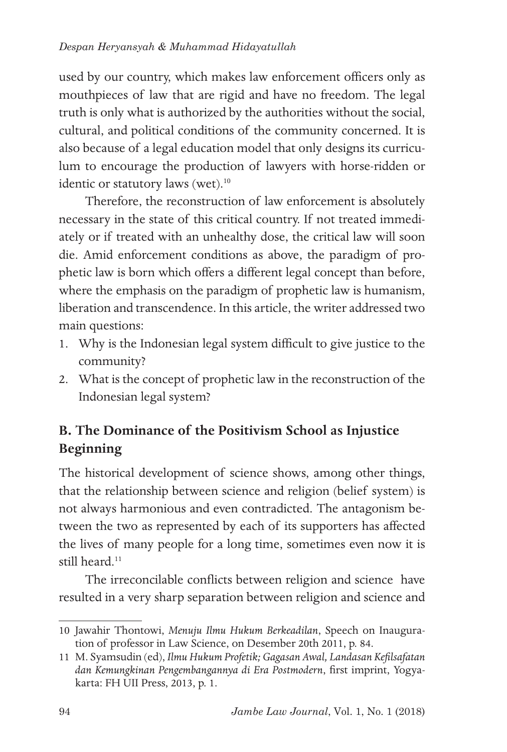used by our country, which makes law enforcement officers only as mouthpieces of law that are rigid and have no freedom. The legal truth is only what is authorized by the authorities without the social, cultural, and political conditions of the community concerned. It is also because of a legal education model that only designs its curriculum to encourage the production of lawyers with horse-ridden or identic or statutory laws (wet).<sup>10</sup>

Therefore, the reconstruction of law enforcement is absolutely necessary in the state of this critical country. If not treated immediately or if treated with an unhealthy dose, the critical law will soon die. Amid enforcement conditions as above, the paradigm of prophetic law is born which offers a different legal concept than before, where the emphasis on the paradigm of prophetic law is humanism, liberation and transcendence. In this article, the writer addressed two main questions:

- 1. Why is the Indonesian legal system difficult to give justice to the community?
- 2. What is the concept of prophetic law in the reconstruction of the Indonesian legal system?

# **B. The Dominance of the Positivism School as Injustice Beginning**

The historical development of science shows, among other things, that the relationship between science and religion (belief system) is not always harmonious and even contradicted. The antagonism between the two as represented by each of its supporters has affected the lives of many people for a long time, sometimes even now it is still heard.<sup>11</sup>

The irreconcilable conflicts between religion and science have resulted in a very sharp separation between religion and science and

<sup>10</sup> Jawahir Thontowi, *Menuju Ilmu Hukum Berkeadilan*, Speech on Inauguration of professor in Law Science, on Desember 20th 2011, p. 84.

<sup>11</sup> M. Syamsudin (ed), *Ilmu Hukum Profetik; Gagasan Awal, Landasan Kefilsafatan dan Kemungkinan Pengembangannya di Era Postmodern*, first imprint, Yogyakarta: FH UII Press, 2013, p. 1.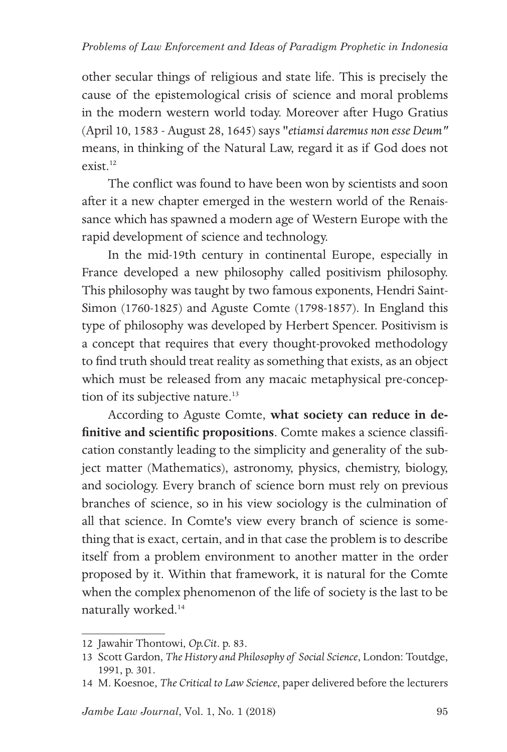other secular things of religious and state life. This is precisely the cause of the epistemological crisis of science and moral problems in the modern western world today. Moreover after Hugo Gratius (April 10, 1583 - August 28, 1645) says "*etiamsi daremus non esse Deum"*  means, in thinking of the Natural Law, regard it as if God does not  $ext$ <sup>12</sup>

The conflict was found to have been won by scientists and soon after it a new chapter emerged in the western world of the Renaissance which has spawned a modern age of Western Europe with the rapid development of science and technology.

In the mid-19th century in continental Europe, especially in France developed a new philosophy called positivism philosophy. This philosophy was taught by two famous exponents, Hendri Saint-Simon (1760-1825) and Aguste Comte (1798-1857). In England this type of philosophy was developed by Herbert Spencer. Positivism is a concept that requires that every thought-provoked methodology to find truth should treat reality as something that exists, as an object which must be released from any macaic metaphysical pre-conception of its subjective nature.<sup>13</sup>

According to Aguste Comte, **what society can reduce in definitive and scientific propositions**. Comte makes a science classification constantly leading to the simplicity and generality of the subject matter (Mathematics), astronomy, physics, chemistry, biology, and sociology. Every branch of science born must rely on previous branches of science, so in his view sociology is the culmination of all that science. In Comte's view every branch of science is something that is exact, certain, and in that case the problem is to describe itself from a problem environment to another matter in the order proposed by it. Within that framework, it is natural for the Comte when the complex phenomenon of the life of society is the last to be naturally worked.14

<sup>12</sup> Jawahir Thontowi, *Op.Cit*. p. 83.

<sup>13</sup> Scott Gardon, *The History and Philosophy of Social Science*, London: Toutdge, 1991, p. 301.

<sup>14</sup> M. Koesnoe, *The Critical to Law Science*, paper delivered before the lecturers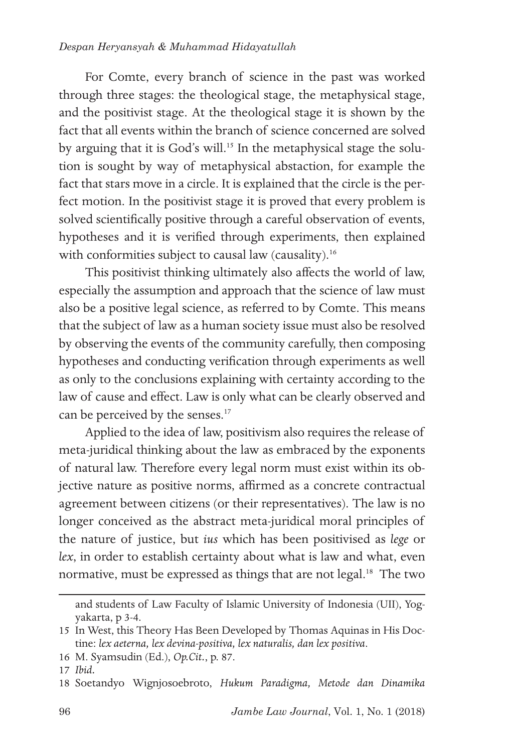### *Despan Heryansyah & Muhammad Hidayatullah*

For Comte, every branch of science in the past was worked through three stages: the theological stage, the metaphysical stage, and the positivist stage. At the theological stage it is shown by the fact that all events within the branch of science concerned are solved by arguing that it is God's will.<sup>15</sup> In the metaphysical stage the solution is sought by way of metaphysical abstaction, for example the fact that stars move in a circle. It is explained that the circle is the perfect motion. In the positivist stage it is proved that every problem is solved scientifically positive through a careful observation of events, hypotheses and it is verified through experiments, then explained with conformities subject to causal law (causality).<sup>16</sup>

This positivist thinking ultimately also affects the world of law, especially the assumption and approach that the science of law must also be a positive legal science, as referred to by Comte. This means that the subject of law as a human society issue must also be resolved by observing the events of the community carefully, then composing hypotheses and conducting verification through experiments as well as only to the conclusions explaining with certainty according to the law of cause and effect. Law is only what can be clearly observed and can be perceived by the senses.<sup>17</sup>

Applied to the idea of law, positivism also requires the release of meta-juridical thinking about the law as embraced by the exponents of natural law. Therefore every legal norm must exist within its objective nature as positive norms, affirmed as a concrete contractual agreement between citizens (or their representatives). The law is no longer conceived as the abstract meta-juridical moral principles of the nature of justice, but *ius* which has been positivised as *lege* or *lex*, in order to establish certainty about what is law and what, even normative, must be expressed as things that are not legal.<sup>18</sup> The two

16 M. Syamsudin (Ed.), *Op.Cit.*, p. 87.

and students of Law Faculty of Islamic University of Indonesia (UII), Yogyakarta, p 3-4.

<sup>15</sup> In West, this Theory Has Been Developed by Thomas Aquinas in His Doctine: *lex aeterna, lex devina-positiva, lex naturalis, dan lex positiva*.

<sup>17</sup> *Ibid.*

<sup>18</sup> Soetandyo Wignjosoebroto, *Hukum Paradigma, Metode dan Dinamika*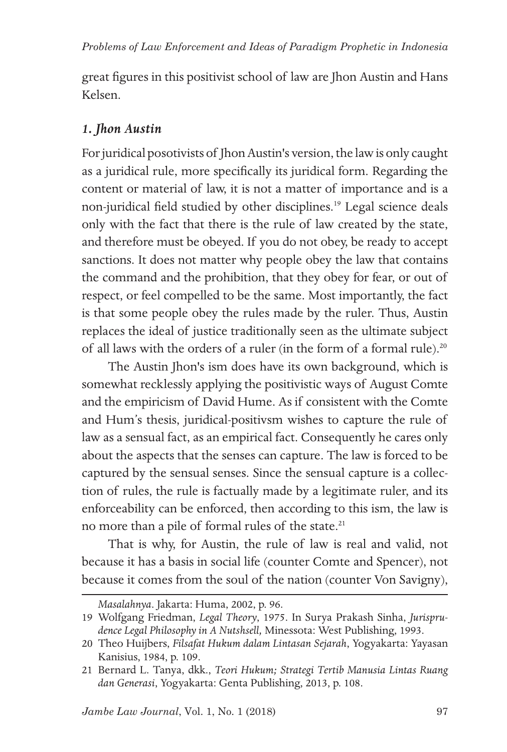great figures in this positivist school of law are Jhon Austin and Hans Kelsen.

## *1. Jhon Austin*

For juridical posotivists of Jhon Austin's version, the law is only caught as a juridical rule, more specifically its juridical form. Regarding the content or material of law, it is not a matter of importance and is a non-juridical field studied by other disciplines.19 Legal science deals only with the fact that there is the rule of law created by the state, and therefore must be obeyed. If you do not obey, be ready to accept sanctions. It does not matter why people obey the law that contains the command and the prohibition, that they obey for fear, or out of respect, or feel compelled to be the same. Most importantly, the fact is that some people obey the rules made by the ruler. Thus, Austin replaces the ideal of justice traditionally seen as the ultimate subject of all laws with the orders of a ruler (in the form of a formal rule).<sup>20</sup>

The Austin Jhon's ism does have its own background, which is somewhat recklessly applying the positivistic ways of August Comte and the empiricism of David Hume. As if consistent with the Comte and Hum's thesis, juridical-positivsm wishes to capture the rule of law as a sensual fact, as an empirical fact. Consequently he cares only about the aspects that the senses can capture. The law is forced to be captured by the sensual senses. Since the sensual capture is a collection of rules, the rule is factually made by a legitimate ruler, and its enforceability can be enforced, then according to this ism, the law is no more than a pile of formal rules of the state.<sup>21</sup>

That is why, for Austin, the rule of law is real and valid, not because it has a basis in social life (counter Comte and Spencer), not because it comes from the soul of the nation (counter Von Savigny),

*Masalahnya*. Jakarta: Huma, 2002, p. 96.

<sup>19</sup> Wolfgang Friedman, *Legal Theory*, 1975. In Surya Prakash Sinha, *Jurisprudence Legal Philosophy in A Nutshsell,* Minessota: West Publishing, 1993.

<sup>20</sup> Theo Huijbers, *Filsafat Hukum dalam Lintasan Sejarah*, Yogyakarta: Yayasan Kanisius, 1984, p. 109.

<sup>21</sup> Bernard L. Tanya, dkk., *Teori Hukum; Strategi Tertib Manusia Lintas Ruang dan Generasi*, Yogyakarta: Genta Publishing, 2013, p. 108.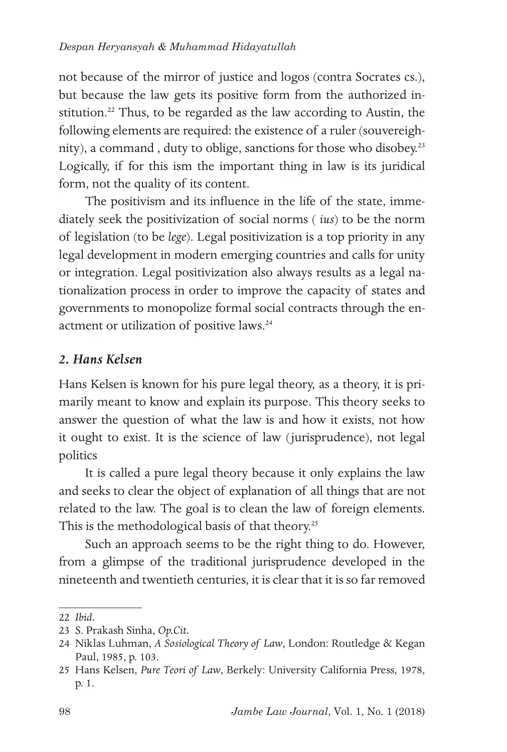not because of the mirror of justice and logos (contra Socrates cs.), but because the law gets its positive form from the authorized institution.<sup>22</sup> Thus, to be regarded as the law according to Austin, the following elements are required: the existence of a ruler (souvereighnity), a command, duty to oblige, sanctions for those who disobey.<sup>23</sup> Logically, if for this ism the important thing in law is its juridical form, not the quality of its content.

The positivism and its influence in the life of the state, immediately seek the positivization of social norms ( *ius*) to be the norm of legislation (to be *lege*). Legal positivization is a top priority in any legal development in modern emerging countries and calls for unity or integration. Legal positivization also always results as a legal nationalization process in order to improve the capacity of states and governments to monopolize formal social contracts through the enactment or utilization of positive laws.<sup>24</sup>

### *2. Hans Kelsen*

Hans Kelsen is known for his pure legal theory, as a theory, it is primarily meant to know and explain its purpose. This theory seeks to answer the question of what the law is and how it exists, not how it ought to exist. It is the science of law (jurisprudence), not legal politics

It is called a pure legal theory because it only explains the law and seeks to clear the object of explanation of all things that are not related to the law. The goal is to clean the law of foreign elements. This is the methodological basis of that theory.<sup>25</sup>

Such an approach seems to be the right thing to do. However, from a glimpse of the traditional jurisprudence developed in the nineteenth and twentieth centuries, it is clear that it is so far removed

<sup>22</sup> *Ibid.*

<sup>23</sup> S. Prakash Sinha, *Op.Cit.*

<sup>24</sup> Niklas Luhman, *A Sosiological Theory of Law*, London: Routledge & Kegan Paul, 1985, p. 103.

<sup>25</sup> Hans Kelsen, *Pure Teori of Law*, Berkely: University California Press, 1978, p. 1.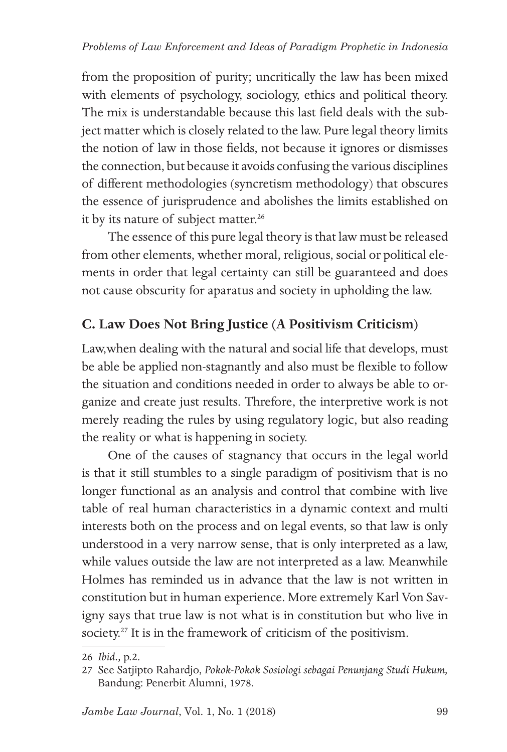from the proposition of purity; uncritically the law has been mixed with elements of psychology, sociology, ethics and political theory. The mix is understandable because this last field deals with the subject matter which is closely related to the law. Pure legal theory limits the notion of law in those fields, not because it ignores or dismisses the connection, but because it avoids confusing the various disciplines of different methodologies (syncretism methodology) that obscures the essence of jurisprudence and abolishes the limits established on it by its nature of subject matter.<sup>26</sup>

The essence of this pure legal theory is that law must be released from other elements, whether moral, religious, social or political elements in order that legal certainty can still be guaranteed and does not cause obscurity for aparatus and society in upholding the law.

## **C. Law Does Not Bring Justice (A Positivism Criticism)**

Law,when dealing with the natural and social life that develops, must be able be applied non-stagnantly and also must be flexible to follow the situation and conditions needed in order to always be able to organize and create just results. Threfore, the interpretive work is not merely reading the rules by using regulatory logic, but also reading the reality or what is happening in society.

One of the causes of stagnancy that occurs in the legal world is that it still stumbles to a single paradigm of positivism that is no longer functional as an analysis and control that combine with live table of real human characteristics in a dynamic context and multi interests both on the process and on legal events, so that law is only understood in a very narrow sense, that is only interpreted as a law, while values outside the law are not interpreted as a law. Meanwhile Holmes has reminded us in advance that the law is not written in constitution but in human experience. More extremely Karl Von Savigny says that true law is not what is in constitution but who live in society.27 It is in the framework of criticism of the positivism.

<sup>26</sup> *Ibid.,* p.2.

<sup>27</sup> See Satjipto Rahardjo, *Pokok-Pokok Sosiologi sebagai Penunjang Studi Hukum,*  Bandung: Penerbit Alumni, 1978.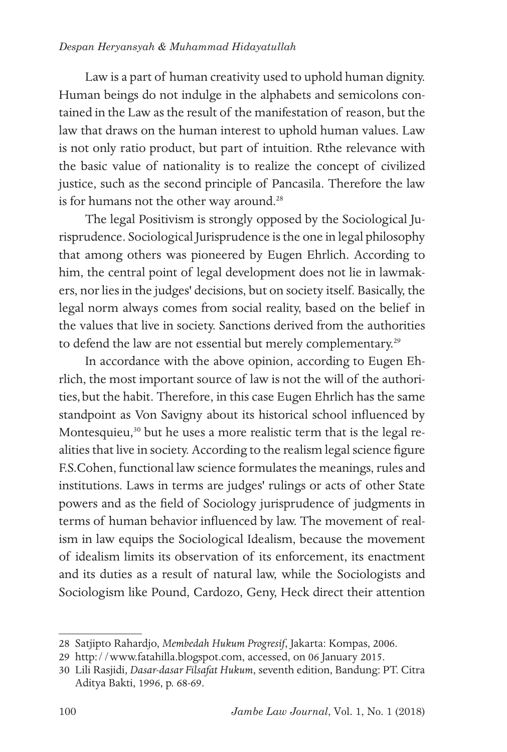### *Despan Heryansyah & Muhammad Hidayatullah*

Law is a part of human creativity used to uphold human dignity. Human beings do not indulge in the alphabets and semicolons contained in the Law as the result of the manifestation of reason, but the law that draws on the human interest to uphold human values. Law is not only ratio product, but part of intuition. Rthe relevance with the basic value of nationality is to realize the concept of civilized justice, such as the second principle of Pancasila. Therefore the law is for humans not the other way around.<sup>28</sup>

The legal Positivism is strongly opposed by the Sociological Jurisprudence. Sociological Jurisprudence is the one in legal philosophy that among others was pioneered by Eugen Ehrlich. According to him, the central point of legal development does not lie in lawmakers, nor lies in the judges' decisions, but on society itself. Basically, the legal norm always comes from social reality, based on the belief in the values that live in society. Sanctions derived from the authorities to defend the law are not essential but merely complementary.<sup>29</sup>

In accordance with the above opinion, according to Eugen Ehrlich, the most important source of law is not the will of the authorities,but the habit. Therefore, in this case Eugen Ehrlich has the same standpoint as Von Savigny about its historical school influenced by Montesquieu,<sup>30</sup> but he uses a more realistic term that is the legal realities that live in society. According to the realism legal science figure F.S.Cohen, functional law science formulates the meanings, rules and institutions. Laws in terms are judges' rulings or acts of other State powers and as the field of Sociology jurisprudence of judgments in terms of human behavior influenced by law. The movement of realism in law equips the Sociological Idealism, because the movement of idealism limits its observation of its enforcement, its enactment and its duties as a result of natural law, while the Sociologists and Sociologism like Pound, Cardozo, Geny, Heck direct their attention

<sup>28</sup> Satjipto Rahardjo, *Membedah Hukum Progresif*, Jakarta: Kompas, 2006.

<sup>29</sup> http://www.fatahilla.blogspot.com, accessed, on 06 January 2015.

<sup>30</sup> Lili Rasjidi, *Dasar-dasar Filsafat Hukum*, seventh edition, Bandung: PT. Citra Aditya Bakti, 1996, p. 68-69.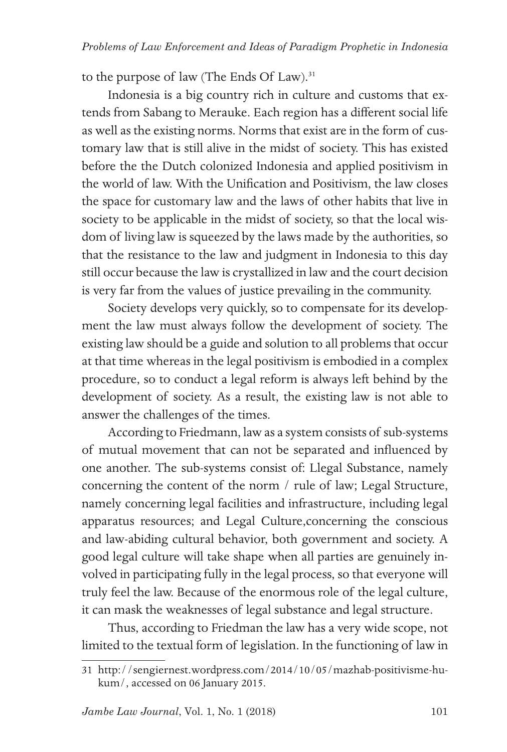to the purpose of law (The Ends Of Law).<sup>31</sup>

Indonesia is a big country rich in culture and customs that extends from Sabang to Merauke. Each region has a different social life as well as the existing norms. Norms that exist are in the form of customary law that is still alive in the midst of society. This has existed before the the Dutch colonized Indonesia and applied positivism in the world of law. With the Unification and Positivism, the law closes the space for customary law and the laws of other habits that live in society to be applicable in the midst of society, so that the local wisdom of living law is squeezed by the laws made by the authorities, so that the resistance to the law and judgment in Indonesia to this day still occur because the law is crystallized in law and the court decision is very far from the values of justice prevailing in the community.

Society develops very quickly, so to compensate for its development the law must always follow the development of society. The existing law should be a guide and solution to all problems that occur at that time whereas in the legal positivism is embodied in a complex procedure, so to conduct a legal reform is always left behind by the development of society. As a result, the existing law is not able to answer the challenges of the times.

According to Friedmann, law as a system consists of sub-systems of mutual movement that can not be separated and influenced by one another. The sub-systems consist of: Llegal Substance, namely concerning the content of the norm / rule of law; Legal Structure, namely concerning legal facilities and infrastructure, including legal apparatus resources; and Legal Culture,concerning the conscious and law-abiding cultural behavior, both government and society. A good legal culture will take shape when all parties are genuinely involved in participating fully in the legal process, so that everyone will truly feel the law. Because of the enormous role of the legal culture, it can mask the weaknesses of legal substance and legal structure.

Thus, according to Friedman the law has a very wide scope, not limited to the textual form of legislation. In the functioning of law in

<sup>31</sup> http://sengiernest.wordpress.com/2014/10/05/mazhab-positivisme-hukum/, accessed on 06 January 2015.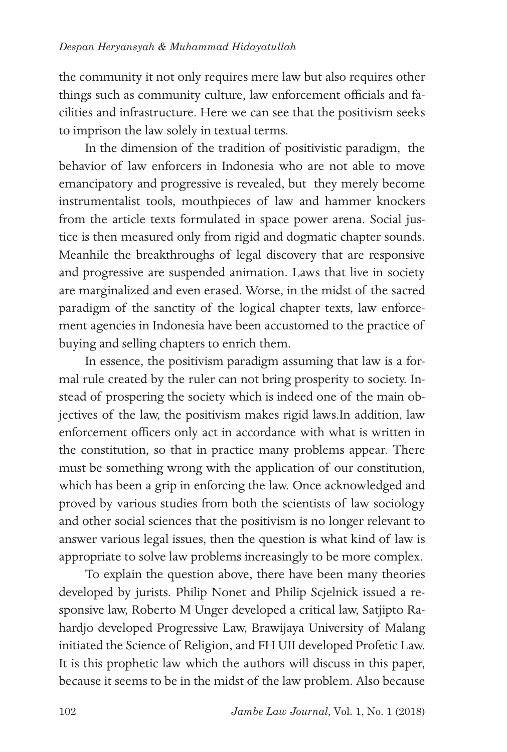the community it not only requires mere law but also requires other things such as community culture, law enforcement officials and facilities and infrastructure. Here we can see that the positivism seeks to imprison the law solely in textual terms.

In the dimension of the tradition of positivistic paradigm, the behavior of law enforcers in Indonesia who are not able to move emancipatory and progressive is revealed, but they merely become instrumentalist tools, mouthpieces of law and hammer knockers from the article texts formulated in space power arena. Social justice is then measured only from rigid and dogmatic chapter sounds. Meanhile the breakthroughs of legal discovery that are responsive and progressive are suspended animation. Laws that live in society are marginalized and even erased. Worse, in the midst of the sacred paradigm of the sanctity of the logical chapter texts, law enforcement agencies in Indonesia have been accustomed to the practice of buying and selling chapters to enrich them.

In essence, the positivism paradigm assuming that law is a formal rule created by the ruler can not bring prosperity to society. Instead of prospering the society which is indeed one of the main objectives of the law, the positivism makes rigid laws.In addition, law enforcement officers only act in accordance with what is written in the constitution, so that in practice many problems appear. There must be something wrong with the application of our constitution, which has been a grip in enforcing the law. Once acknowledged and proved by various studies from both the scientists of law sociology and other social sciences that the positivism is no longer relevant to answer various legal issues, then the question is what kind of law is appropriate to solve law problems increasingly to be more complex.

To explain the question above, there have been many theories developed by jurists. Philip Nonet and Philip Scjelnick issued a responsive law, Roberto M Unger developed a critical law, Satjipto Rahardjo developed Progressive Law, Brawijaya University of Malang initiated the Science of Religion, and FH UII developed Profetic Law. It is this prophetic law which the authors will discuss in this paper, because it seems to be in the midst of the law problem. Also because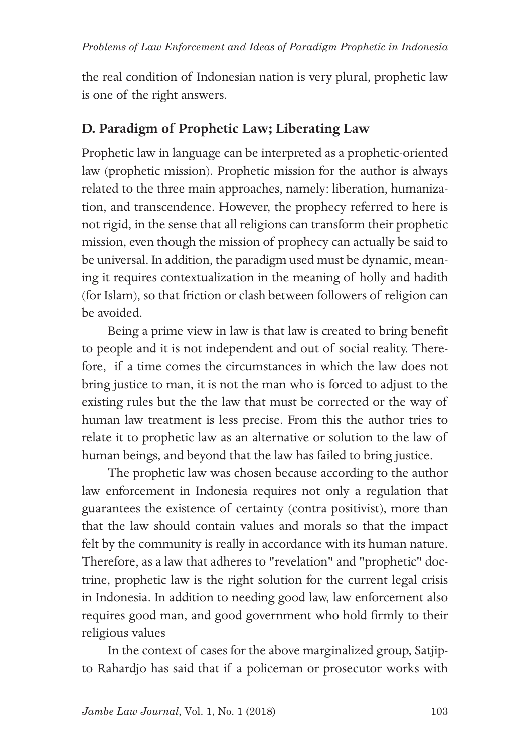the real condition of Indonesian nation is very plural, prophetic law is one of the right answers.

## **D. Paradigm of Prophetic Law; Liberating Law**

Prophetic law in language can be interpreted as a prophetic-oriented law (prophetic mission). Prophetic mission for the author is always related to the three main approaches, namely: liberation, humanization, and transcendence. However, the prophecy referred to here is not rigid, in the sense that all religions can transform their prophetic mission, even though the mission of prophecy can actually be said to be universal. In addition, the paradigm used must be dynamic, meaning it requires contextualization in the meaning of holly and hadith (for Islam), so that friction or clash between followers of religion can be avoided.

Being a prime view in law is that law is created to bring benefit to people and it is not independent and out of social reality. Therefore, if a time comes the circumstances in which the law does not bring justice to man, it is not the man who is forced to adjust to the existing rules but the the law that must be corrected or the way of human law treatment is less precise. From this the author tries to relate it to prophetic law as an alternative or solution to the law of human beings, and beyond that the law has failed to bring justice.

The prophetic law was chosen because according to the author law enforcement in Indonesia requires not only a regulation that guarantees the existence of certainty (contra positivist), more than that the law should contain values and morals so that the impact felt by the community is really in accordance with its human nature. Therefore, as a law that adheres to "revelation" and "prophetic" doctrine, prophetic law is the right solution for the current legal crisis in Indonesia. In addition to needing good law, law enforcement also requires good man, and good government who hold firmly to their religious values

In the context of cases for the above marginalized group, Satjipto Rahardjo has said that if a policeman or prosecutor works with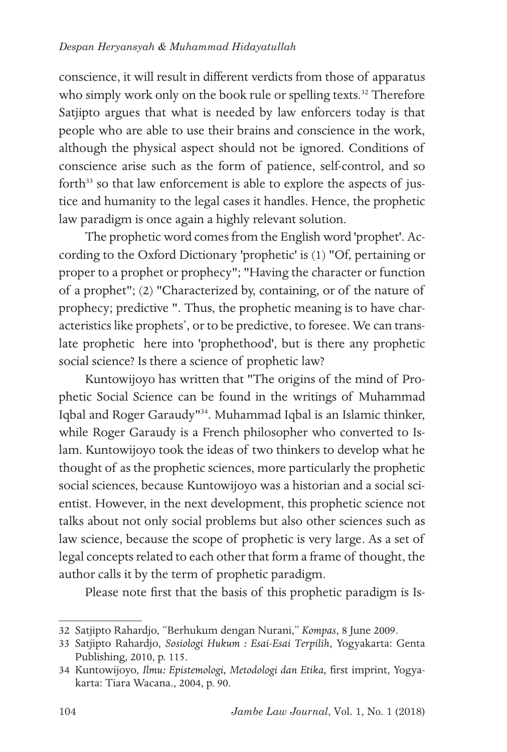conscience, it will result in different verdicts from those of apparatus who simply work only on the book rule or spelling texts.<sup>32</sup> Therefore Satjipto argues that what is needed by law enforcers today is that people who are able to use their brains and conscience in the work, although the physical aspect should not be ignored. Conditions of conscience arise such as the form of patience, self-control, and so forth $33$  so that law enforcement is able to explore the aspects of justice and humanity to the legal cases it handles. Hence, the prophetic law paradigm is once again a highly relevant solution.

The prophetic word comes from the English word 'prophet'. According to the Oxford Dictionary 'prophetic' is (1) "Of, pertaining or proper to a prophet or prophecy"; "Having the character or function of a prophet"; (2) "Characterized by, containing, or of the nature of prophecy; predictive ". Thus, the prophetic meaning is to have characteristics like prophets', or to be predictive, to foresee. We can translate prophetic here into 'prophethood', but is there any prophetic social science? Is there a science of prophetic law?

Kuntowijoyo has written that "The origins of the mind of Prophetic Social Science can be found in the writings of Muhammad Iqbal and Roger Garaudy"<sup>34</sup>. Muhammad Iqbal is an Islamic thinker, while Roger Garaudy is a French philosopher who converted to Islam. Kuntowijoyo took the ideas of two thinkers to develop what he thought of as the prophetic sciences, more particularly the prophetic social sciences, because Kuntowijoyo was a historian and a social scientist. However, in the next development, this prophetic science not talks about not only social problems but also other sciences such as law science, because the scope of prophetic is very large. As a set of legal concepts related to each other that form a frame of thought, the author calls it by the term of prophetic paradigm.

Please note first that the basis of this prophetic paradigm is Is-

<sup>32</sup> Satjipto Rahardjo, "Berhukum dengan Nurani," *Kompas*, 8 June 2009.

<sup>33</sup> Satjipto Rahardjo, *Sosiologi Hukum : Esai-Esai Terpilih*, Yogyakarta: Genta Publishing, 2010, p. 115.

<sup>34</sup> Kuntowijoyo, *Ilmu: Epistemologi, Metodologi dan Etika,* first imprint, Yogyakarta: Tiara Wacana., 2004, p. 90.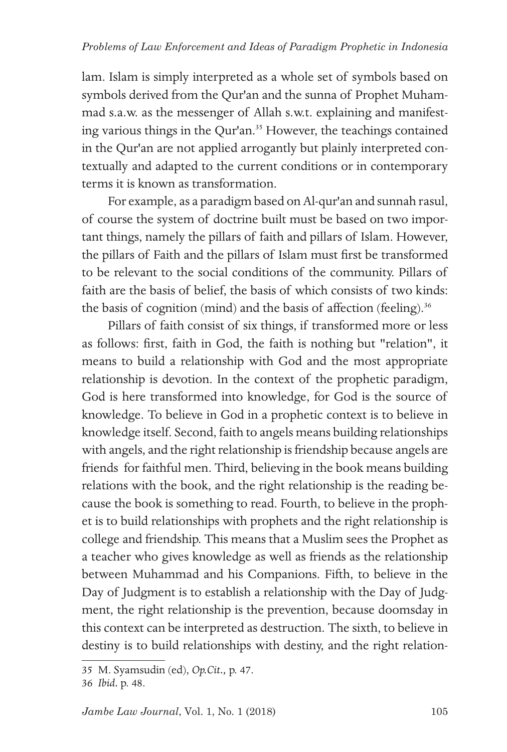lam. Islam is simply interpreted as a whole set of symbols based on symbols derived from the Qur'an and the sunna of Prophet Muhammad s.a.w. as the messenger of Allah s.w.t. explaining and manifesting various things in the Qur'an.<sup>35</sup> However, the teachings contained in the Qur'an are not applied arrogantly but plainly interpreted contextually and adapted to the current conditions or in contemporary terms it is known as transformation.

For example, as a paradigm based on Al-qur'an and sunnah rasul, of course the system of doctrine built must be based on two important things, namely the pillars of faith and pillars of Islam. However, the pillars of Faith and the pillars of Islam must first be transformed to be relevant to the social conditions of the community. Pillars of faith are the basis of belief, the basis of which consists of two kinds: the basis of cognition (mind) and the basis of affection (feeling).<sup>36</sup>

Pillars of faith consist of six things, if transformed more or less as follows: first, faith in God, the faith is nothing but "relation", it means to build a relationship with God and the most appropriate relationship is devotion. In the context of the prophetic paradigm, God is here transformed into knowledge, for God is the source of knowledge. To believe in God in a prophetic context is to believe in knowledge itself. Second, faith to angels means building relationships with angels, and the right relationship is friendship because angels are friends for faithful men. Third, believing in the book means building relations with the book, and the right relationship is the reading because the book is something to read. Fourth, to believe in the prophet is to build relationships with prophets and the right relationship is college and friendship. This means that a Muslim sees the Prophet as a teacher who gives knowledge as well as friends as the relationship between Muhammad and his Companions. Fifth, to believe in the Day of Judgment is to establish a relationship with the Day of Judgment, the right relationship is the prevention, because doomsday in this context can be interpreted as destruction. The sixth, to believe in destiny is to build relationships with destiny, and the right relation-

<sup>35</sup> M. Syamsudin (ed), *Op.Cit.,* p. 47.

<sup>36</sup> *Ibid.* p. 48.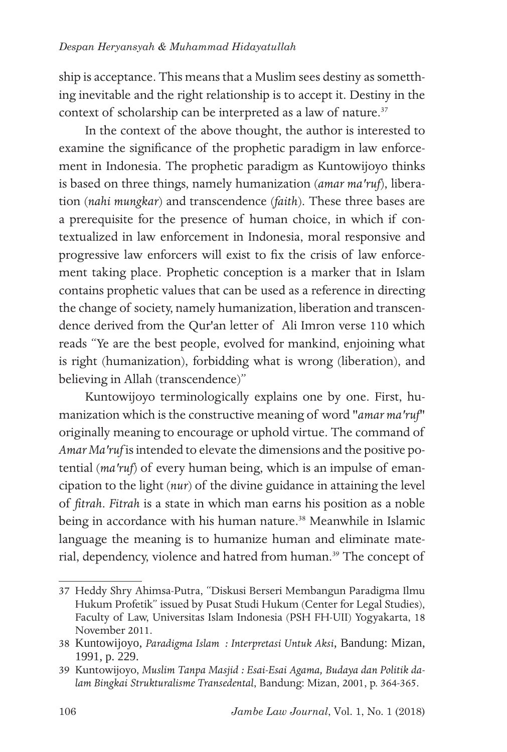ship is acceptance. This means that a Muslim sees destiny as sometthing inevitable and the right relationship is to accept it. Destiny in the context of scholarship can be interpreted as a law of nature.<sup>37</sup>

In the context of the above thought, the author is interested to examine the significance of the prophetic paradigm in law enforcement in Indonesia. The prophetic paradigm as Kuntowijoyo thinks is based on three things, namely humanization (*amar ma'ruf*), liberation (*nahi mungkar*) and transcendence (*faith*). These three bases are a prerequisite for the presence of human choice, in which if contextualized in law enforcement in Indonesia, moral responsive and progressive law enforcers will exist to fix the crisis of law enforcement taking place. Prophetic conception is a marker that in Islam contains prophetic values that can be used as a reference in directing the change of society, namely humanization, liberation and transcendence derived from the Qur'an letter of Ali Imron verse 110 which reads "Ye are the best people, evolved for mankind, enjoining what is right (humanization), forbidding what is wrong (liberation), and believing in Allah (transcendence)"

Kuntowijoyo terminologically explains one by one. First, humanization which is the constructive meaning of word "*amar ma'ruf*" originally meaning to encourage or uphold virtue. The command of *Amar Ma'ruf* is intended to elevate the dimensions and the positive potential (*ma'ruf*) of every human being, which is an impulse of emancipation to the light (*nur*) of the divine guidance in attaining the level of *fitrah*. *Fitrah* is a state in which man earns his position as a noble being in accordance with his human nature.<sup>38</sup> Meanwhile in Islamic language the meaning is to humanize human and eliminate material, dependency, violence and hatred from human.<sup>39</sup> The concept of

<sup>37</sup> Heddy Shry Ahimsa-Putra, "Diskusi Berseri Membangun Paradigma Ilmu Hukum Profetik" issued by Pusat Studi Hukum (Center for Legal Studies), Faculty of Law, Universitas Islam Indonesia (PSH FH-UII) Yogyakarta, 18 November 2011.

<sup>38</sup> Kuntowijoyo, *Paradigma Islam : Interpretasi Untuk Aksi*, Bandung: Mizan, 1991, p. 229.

<sup>39</sup> Kuntowijoyo, *Muslim Tanpa Masjid : Esai-Esai Agama, Budaya dan Politik dalam Bingkai Strukturalisme Transedental*, Bandung: Mizan, 2001, p. 364-365.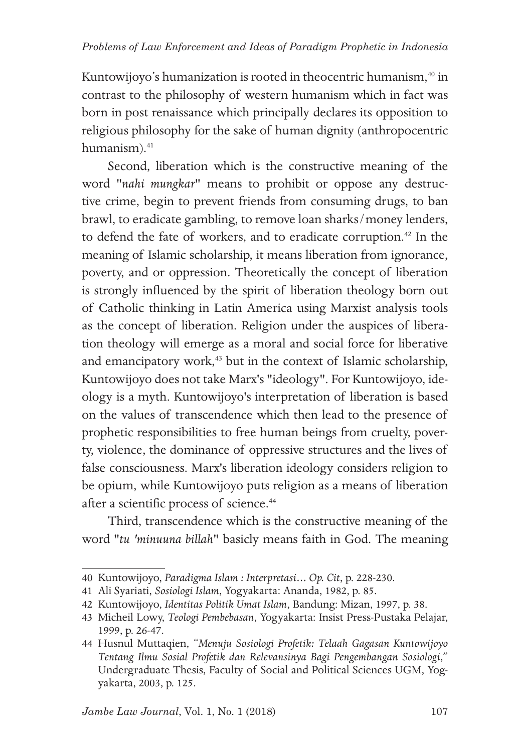Kuntowijoyo's humanization is rooted in theocentric humanism,<sup>40</sup> in contrast to the philosophy of western humanism which in fact was born in post renaissance which principally declares its opposition to religious philosophy for the sake of human dignity (anthropocentric humanism).<sup>41</sup>

Second, liberation which is the constructive meaning of the word "*nahi mungkar*" means to prohibit or oppose any destructive crime, begin to prevent friends from consuming drugs, to ban brawl, to eradicate gambling, to remove loan sharks/money lenders, to defend the fate of workers, and to eradicate corruption.<sup>42</sup> In the meaning of Islamic scholarship, it means liberation from ignorance, poverty, and or oppression. Theoretically the concept of liberation is strongly influenced by the spirit of liberation theology born out of Catholic thinking in Latin America using Marxist analysis tools as the concept of liberation. Religion under the auspices of liberation theology will emerge as a moral and social force for liberative and emancipatory work,<sup>43</sup> but in the context of Islamic scholarship, Kuntowijoyo does not take Marx's "ideology". For Kuntowijoyo, ideology is a myth. Kuntowijoyo's interpretation of liberation is based on the values of transcendence which then lead to the presence of prophetic responsibilities to free human beings from cruelty, poverty, violence, the dominance of oppressive structures and the lives of false consciousness. Marx's liberation ideology considers religion to be opium, while Kuntowijoyo puts religion as a means of liberation after a scientific process of science.<sup>44</sup>

Third, transcendence which is the constructive meaning of the word "*tu 'minuuna billah*" basicly means faith in God. The meaning

<sup>40</sup> Kuntowijoyo, *Paradigma Islam : Interpretasi… Op. Cit*, p. 228-230.

<sup>41</sup> Ali Syariati, *Sosiologi Islam*, Yogyakarta: Ananda, 1982, p. 85.

<sup>42</sup> Kuntowijoyo, *Identitas Politik Umat Islam*, Bandung: Mizan, 1997, p. 38.

<sup>43</sup> Micheil Lowy, *Teologi Pembebasan*, Yogyakarta: Insist Press-Pustaka Pelajar, 1999, p. 26-47.

<sup>44</sup> Husnul Muttaqien, "*Menuju Sosiologi Profetik: Telaah Gagasan Kuntowijoyo Tentang Ilmu Sosial Profetik dan Relevansinya Bagi Pengembangan Sosiologi*," Undergraduate Thesis, Faculty of Social and Political Sciences UGM, Yogyakarta, 2003, p. 125.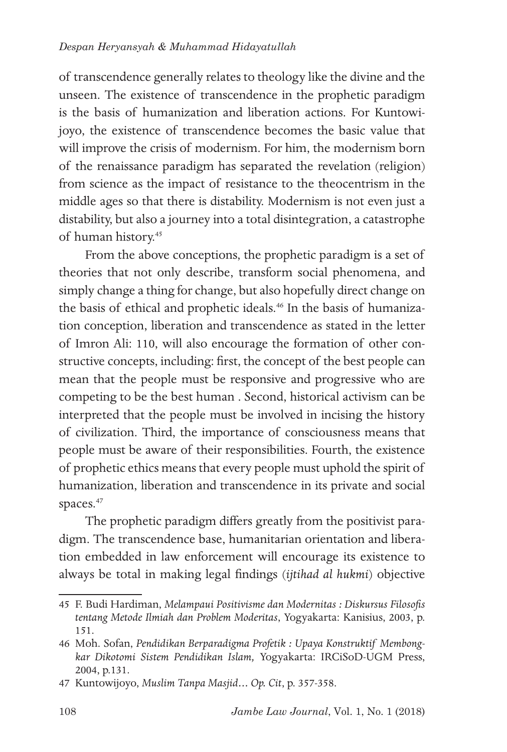of transcendence generally relates to theology like the divine and the unseen. The existence of transcendence in the prophetic paradigm is the basis of humanization and liberation actions. For Kuntowijoyo, the existence of transcendence becomes the basic value that will improve the crisis of modernism. For him, the modernism born of the renaissance paradigm has separated the revelation (religion) from science as the impact of resistance to the theocentrism in the middle ages so that there is distability. Modernism is not even just a distability, but also a journey into a total disintegration, a catastrophe of human history.<sup>45</sup>

From the above conceptions, the prophetic paradigm is a set of theories that not only describe, transform social phenomena, and simply change a thing for change, but also hopefully direct change on the basis of ethical and prophetic ideals.<sup>46</sup> In the basis of humanization conception, liberation and transcendence as stated in the letter of Imron Ali: 110, will also encourage the formation of other constructive concepts, including: first, the concept of the best people can mean that the people must be responsive and progressive who are competing to be the best human . Second, historical activism can be interpreted that the people must be involved in incising the history of civilization. Third, the importance of consciousness means that people must be aware of their responsibilities. Fourth, the existence of prophetic ethics means that every people must uphold the spirit of humanization, liberation and transcendence in its private and social spaces.<sup>47</sup>

The prophetic paradigm differs greatly from the positivist paradigm. The transcendence base, humanitarian orientation and liberation embedded in law enforcement will encourage its existence to always be total in making legal findings (*ijtihad al hukmi*) objective

<sup>45</sup> F. Budi Hardiman, *Melampaui Positivisme dan Modernitas : Diskursus Filosofis tentang Metode Ilmiah dan Problem Moderitas*, Yogyakarta: Kanisius, 2003, p. 151.

<sup>46</sup> Moh. Sofan, *Pendidikan Berparadigma Profetik : Upaya Konstruktif Membongkar Dikotomi Sistem Pendidikan Islam,* Yogyakarta: IRCiSoD-UGM Press, 2004, p.131.

<sup>47</sup> Kuntowijoyo, *Muslim Tanpa Masjid… Op. Cit*, p. 357-358.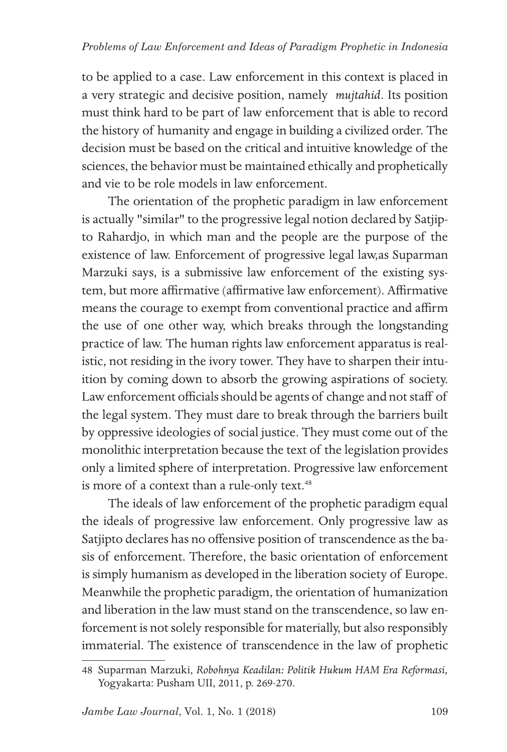to be applied to a case. Law enforcement in this context is placed in a very strategic and decisive position, namely *mujtahid*. Its position must think hard to be part of law enforcement that is able to record the history of humanity and engage in building a civilized order. The decision must be based on the critical and intuitive knowledge of the sciences, the behavior must be maintained ethically and prophetically and vie to be role models in law enforcement.

The orientation of the prophetic paradigm in law enforcement is actually "similar" to the progressive legal notion declared by Satjipto Rahardjo, in which man and the people are the purpose of the existence of law. Enforcement of progressive legal law,as Suparman Marzuki says, is a submissive law enforcement of the existing system, but more affirmative (affirmative law enforcement). Affirmative means the courage to exempt from conventional practice and affirm the use of one other way, which breaks through the longstanding practice of law. The human rights law enforcement apparatus is realistic, not residing in the ivory tower. They have to sharpen their intuition by coming down to absorb the growing aspirations of society. Law enforcement officials should be agents of change and not staff of the legal system. They must dare to break through the barriers built by oppressive ideologies of social justice. They must come out of the monolithic interpretation because the text of the legislation provides only a limited sphere of interpretation. Progressive law enforcement is more of a context than a rule-only text.<sup>48</sup>

The ideals of law enforcement of the prophetic paradigm equal the ideals of progressive law enforcement. Only progressive law as Satjipto declares has no offensive position of transcendence as the basis of enforcement. Therefore, the basic orientation of enforcement is simply humanism as developed in the liberation society of Europe. Meanwhile the prophetic paradigm, the orientation of humanization and liberation in the law must stand on the transcendence, so law enforcement is not solely responsible for materially, but also responsibly immaterial. The existence of transcendence in the law of prophetic

<sup>48</sup> Suparman Marzuki, *Robohnya Keadilan: Politik Hukum HAM Era Reformasi,*  Yogyakarta: Pusham UII, 2011, p. 269-270.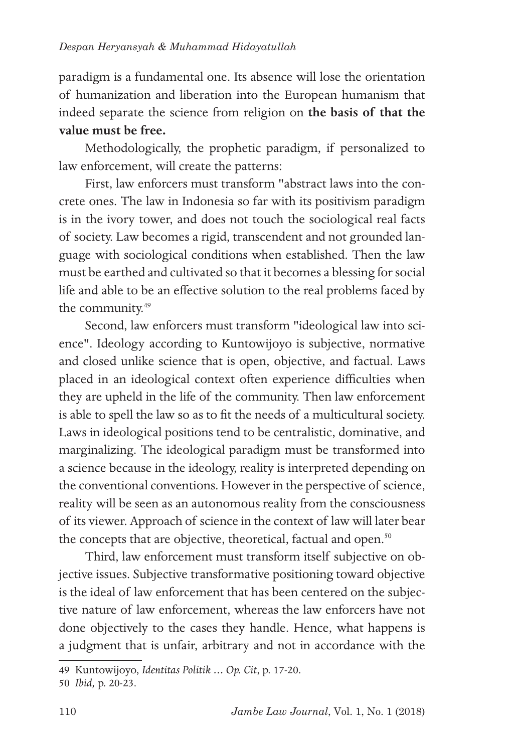paradigm is a fundamental one. Its absence will lose the orientation of humanization and liberation into the European humanism that indeed separate the science from religion on **the basis of that the value must be free.**

Methodologically, the prophetic paradigm, if personalized to law enforcement, will create the patterns:

First, law enforcers must transform "abstract laws into the concrete ones. The law in Indonesia so far with its positivism paradigm is in the ivory tower, and does not touch the sociological real facts of society. Law becomes a rigid, transcendent and not grounded language with sociological conditions when established. Then the law must be earthed and cultivated so that it becomes a blessing for social life and able to be an effective solution to the real problems faced by the community.<sup>49</sup>

Second, law enforcers must transform "ideological law into science". Ideology according to Kuntowijoyo is subjective, normative and closed unlike science that is open, objective, and factual. Laws placed in an ideological context often experience difficulties when they are upheld in the life of the community. Then law enforcement is able to spell the law so as to fit the needs of a multicultural society. Laws in ideological positions tend to be centralistic, dominative, and marginalizing. The ideological paradigm must be transformed into a science because in the ideology, reality is interpreted depending on the conventional conventions. However in the perspective of science, reality will be seen as an autonomous reality from the consciousness of its viewer. Approach of science in the context of law will later bear the concepts that are objective, theoretical, factual and open.<sup>50</sup>

Third, law enforcement must transform itself subjective on objective issues. Subjective transformative positioning toward objective is the ideal of law enforcement that has been centered on the subjective nature of law enforcement, whereas the law enforcers have not done objectively to the cases they handle. Hence, what happens is a judgment that is unfair, arbitrary and not in accordance with the

<sup>49</sup> Kuntowijoyo, *Identitas Politik … Op. Cit*, p. 17-20.

<sup>50</sup> *Ibid,* p. 20-23.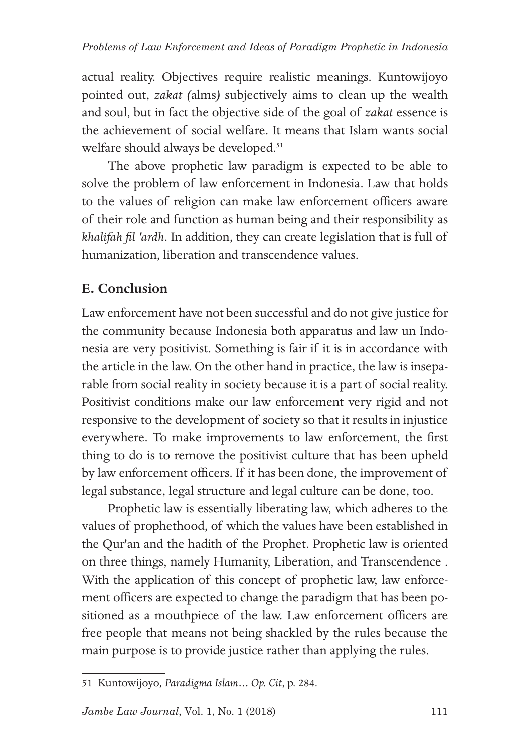actual reality. Objectives require realistic meanings. Kuntowijoyo pointed out, *zakat (*alms*)* subjectively aims to clean up the wealth and soul, but in fact the objective side of the goal of *zakat* essence is the achievement of social welfare. It means that Islam wants social welfare should always be developed.<sup>51</sup>

The above prophetic law paradigm is expected to be able to solve the problem of law enforcement in Indonesia. Law that holds to the values of religion can make law enforcement officers aware of their role and function as human being and their responsibility as *khalifah fil 'ardh*. In addition, they can create legislation that is full of humanization, liberation and transcendence values.

# **E. Conclusion**

Law enforcement have not been successful and do not give justice for the community because Indonesia both apparatus and law un Indonesia are very positivist. Something is fair if it is in accordance with the article in the law. On the other hand in practice, the law is inseparable from social reality in society because it is a part of social reality. Positivist conditions make our law enforcement very rigid and not responsive to the development of society so that it results in injustice everywhere. To make improvements to law enforcement, the first thing to do is to remove the positivist culture that has been upheld by law enforcement officers. If it has been done, the improvement of legal substance, legal structure and legal culture can be done, too.

Prophetic law is essentially liberating law, which adheres to the values of prophethood, of which the values have been established in the Qur'an and the hadith of the Prophet. Prophetic law is oriented on three things, namely Humanity, Liberation, and Transcendence . With the application of this concept of prophetic law, law enforcement officers are expected to change the paradigm that has been positioned as a mouthpiece of the law. Law enforcement officers are free people that means not being shackled by the rules because the main purpose is to provide justice rather than applying the rules.

<sup>51</sup> Kuntowijoyo*, Paradigma Islam… Op. Cit*, p. 284.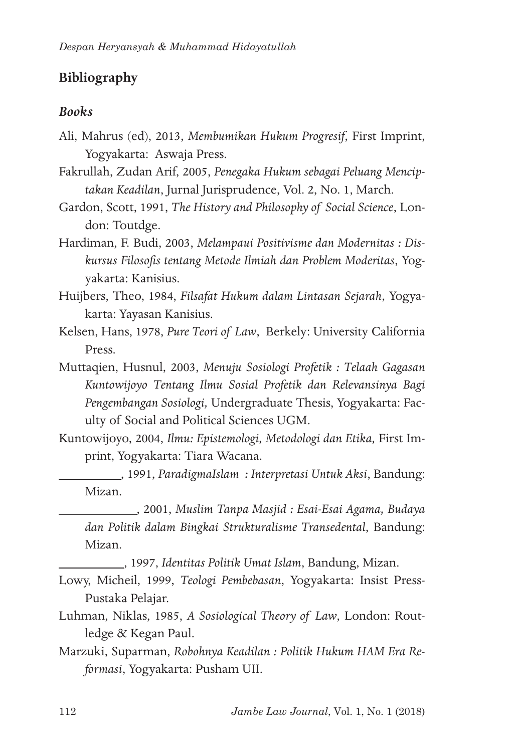# **Bibliography**

### *Books*

- Ali, Mahrus (ed), 2013, *Membumikan Hukum Progresif*, First Imprint, Yogyakarta: Aswaja Press.
- Fakrullah, Zudan Arif, 2005, *Penegaka Hukum sebagai Peluang Menciptakan Keadilan*, Jurnal Jurisprudence, Vol. 2, No. 1, March.
- Gardon, Scott, 1991, *The History and Philosophy of Social Science*, London: Toutdge.
- Hardiman, F. Budi, 2003, *Melampaui Positivisme dan Modernitas : Diskursus Filosofis tentang Metode Ilmiah dan Problem Moderitas*, Yogyakarta: Kanisius.
- Huijbers, Theo, 1984, *Filsafat Hukum dalam Lintasan Sejarah*, Yogyakarta: Yayasan Kanisius.
- Kelsen, Hans, 1978, *Pure Teori of Law*, Berkely: University California Press.
- Muttaqien, Husnul, 2003, *Menuju Sosiologi Profetik : Telaah Gagasan Kuntowijoyo Tentang Ilmu Sosial Profetik dan Relevansinya Bagi Pengembangan Sosiologi,* Undergraduate Thesis, Yogyakarta: Faculty of Social and Political Sciences UGM.
- Kuntowijoyo, 2004, *Ilmu: Epistemologi, Metodologi dan Etika,* First Imprint, Yogyakarta: Tiara Wacana.
	- , 1991, *ParadigmaIslam : Interpretasi Untuk Aksi*, Bandung: Mizan.

 , 2001, *Muslim Tanpa Masjid : Esai-Esai Agama, Budaya dan Politik dalam Bingkai Strukturalisme Transedental*, Bandung: Mizan.

, 1997, *Identitas Politik Umat Islam*, Bandung, Mizan.

- Lowy, Micheil, 1999, *Teologi Pembebasan*, Yogyakarta: Insist Press-Pustaka Pelajar.
- Luhman, Niklas, 1985, *A Sosiological Theory of Law*, London: Routledge & Kegan Paul.
- Marzuki, Suparman, *Robohnya Keadilan : Politik Hukum HAM Era Reformasi*, Yogyakarta: Pusham UII.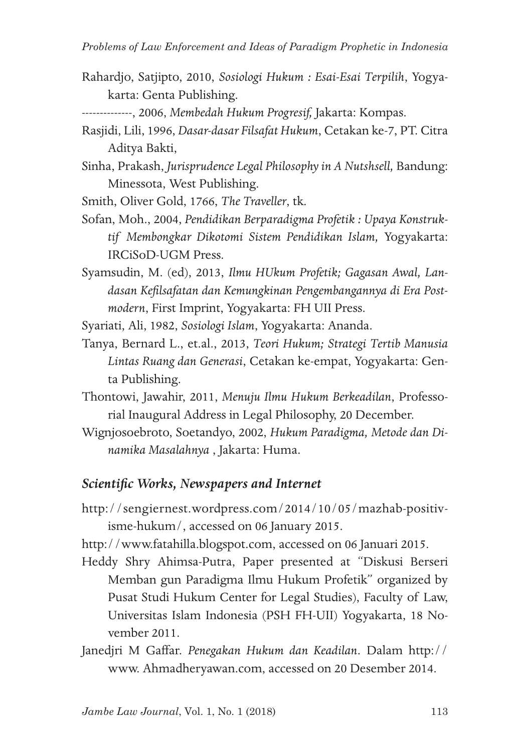Rahardjo, Satjipto, 2010, *Sosiologi Hukum : Esai-Esai Terpilih*, Yogyakarta: Genta Publishing.

- Rasjidi, Lili, 1996, *Dasar-dasar Filsafat Hukum*, Cetakan ke-7, PT. Citra Aditya Bakti,
- Sinha, Prakash, *Jurisprudence Legal Philosophy in A Nutshsell,* Bandung: Minessota, West Publishing.
- Smith, Oliver Gold, 1766, *The Traveller*, tk.
- Sofan, Moh., 2004, *Pendidikan Berparadigma Profetik : Upaya Konstruktif Membongkar Dikotomi Sistem Pendidikan Islam,* Yogyakarta: IRCiSoD-UGM Press.
- Syamsudin, M. (ed), 2013, *Ilmu HUkum Profetik; Gagasan Awal, Landasan Kefilsafatan dan Kemungkinan Pengembangannya di Era Postmodern*, First Imprint, Yogyakarta: FH UII Press.

Syariati, Ali, 1982, *Sosiologi Islam*, Yogyakarta: Ananda.

- Tanya, Bernard L., et.al., 2013, *Teori Hukum; Strategi Tertib Manusia Lintas Ruang dan Generasi*, Cetakan ke-empat, Yogyakarta: Genta Publishing.
- Thontowi, Jawahir, 2011, *Menuju Ilmu Hukum Berkeadilan*, Professorial Inaugural Address in Legal Philosophy, 20 December.
- Wignjosoebroto, Soetandyo, 2002, *Hukum Paradigma, Metode dan Dinamika Masalahnya* , Jakarta: Huma.

## *Scientific Works, Newspapers and Internet*

- http://sengiernest.wordpress.com/2014/10/05/mazhab-positivisme-hukum/, accessed on 06 January 2015.
- http://www.fatahilla.blogspot.com, accessed on 06 Januari 2015.
- Heddy Shry Ahimsa-Putra, Paper presented at "Diskusi Berseri Memban gun Paradigma Ilmu Hukum Profetik" organized by Pusat Studi Hukum Center for Legal Studies), Faculty of Law, Universitas Islam Indonesia (PSH FH-UII) Yogyakarta, 18 November 2011.
- Janedjri M Gaffar. *Penegakan Hukum dan Keadilan*. Dalam http:// www. Ahmadheryawan.com, accessed on 20 Desember 2014.

<sup>--------------, 2006,</sup> *Membedah Hukum Progresif,* Jakarta: Kompas.